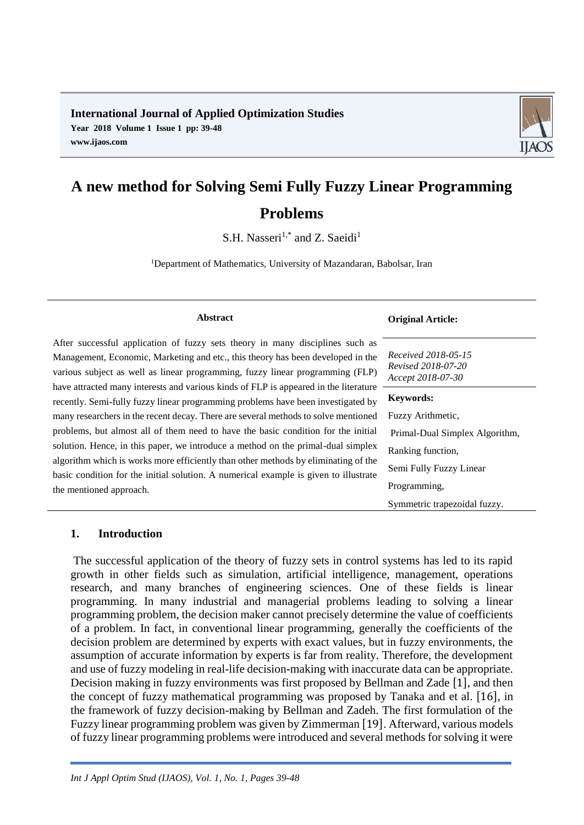**International Journal of Applied Optimization Studies Year 2018 Volume 1 Issue 1 pp: 39-48 www.ijaos.com**



# **A new method for Solving Semi Fully Fuzzy Linear Programming Problems**

S.H. Nasseri<sup>1,\*</sup> and Z. Saeidi<sup>1</sup>

<sup>1</sup>Department of Mathematics, University of Mazandaran, Babolsar, Iran

#### **Abstract**

After successful application of fuzzy sets theory in many disciplines such as Management, Economic, Marketing and etc., this theory has been developed in the various subject as well as linear programming, fuzzy linear programming (FLP) have attracted many interests and various kinds of FLP is appeared in the literature recently. Semi-fully fuzzy linear programming problems have been investigated by many researchers in the recent decay. There are several methods to solve mentioned problems, but almost all of them need to have the basic condition for the initial solution. Hence, in this paper, we introduce a method on the primal-dual simplex algorithm which is works more efficiently than other methods by eliminating of the basic condition for the initial solution. A numerical example is given to illustrate the mentioned approach.

#### **Original Article:**

*Received 2018-05-15 Revised 2018-07-20 Accept 2018-07-30*

**Keywords:**

Fuzzy Arithmetic, Primal-Dual Simplex Algorithm, Ranking function, Semi Fully Fuzzy Linear Programming, Symmetric trapezoidal fuzzy.

# **1. Introduction**

The successful application of the theory of fuzzy sets in control systems has led to its rapid growth in other fields such as simulation, artificial intelligence, management, operations research, and many branches of engineering sciences. One of these fields is linear programming. In many industrial and managerial problems leading to solving a linear programming problem, the decision maker cannot precisely determine the value of coefficients of a problem. In fact, in conventional linear programming, generally the coefficients of the decision problem are determined by experts with exact values, but in fuzzy environments, the assumption of accurate information by experts is far from reality. Therefore, the development and use of fuzzy modeling in real-life decision-making with inaccurate data can be appropriate. Decision making in fuzzy environments was first proposed by Bellman and Zade [1], and then the concept of fuzzy mathematical programming was proposed by Tanaka and et al. [16], in the framework of fuzzy decision-making by Bellman and Zadeh. The first formulation of the Fuzzy linear programming problem was given by Zimmerman [19]. Afterward, various models of fuzzy linear programming problems were introduced and several methods for solving it were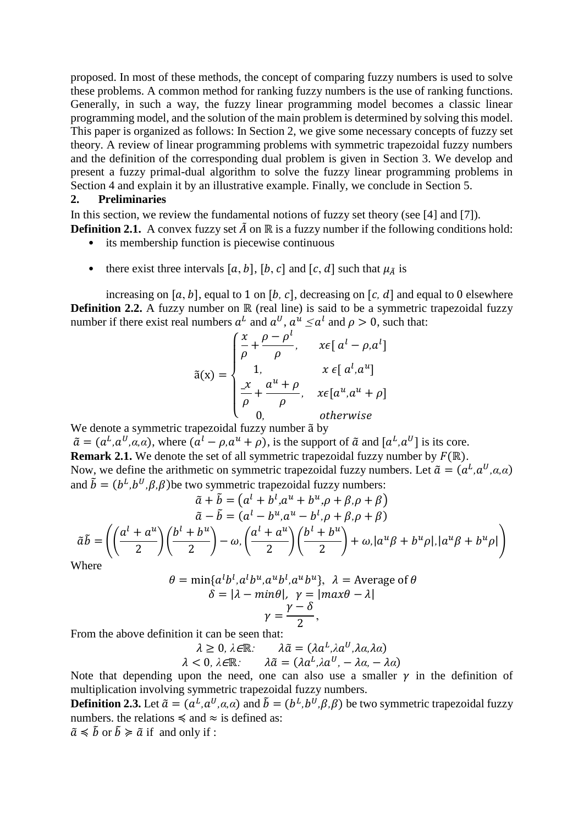proposed. In most of these methods, the concept of comparing fuzzy numbers is used to solve these problems. A common method for ranking fuzzy numbers is the use of ranking functions. Generally, in such a way, the fuzzy linear programming model becomes a classic linear programming model, and the solution of the main problem is determined by solving this model. This paper is organized as follows: In Section 2, we give some necessary concepts of fuzzy set theory. A review of linear programming problems with symmetric trapezoidal fuzzy numbers and the definition of the corresponding dual problem is given in Section 3. We develop and present a fuzzy primal-dual algorithm to solve the fuzzy linear programming problems in Section 4 and explain it by an illustrative example. Finally, we conclude in Section 5.

### **2. Preliminaries**

In this section, we review the fundamental notions of fuzzy set theory (see [4] and [7]).

**Definition 2.1.** A convex fuzzy set  $\tilde{A}$  on ℝ is a fuzzy number if the following conditions hold:

- its membership function is piecewise continuous
- there exist three intervals  $[a, b]$ ,  $[b, c]$  and  $[c, d]$  such that  $\mu_{\tilde{A}}$  is

increasing on  $[a, b]$ , equal to 1 on  $[b, c]$ , decreasing on  $[c, d]$  and equal to 0 elsewhere **Definition 2.2.** A fuzzy number on ℝ (real line) is said to be a symmetric trapezoidal fuzzy number if there exist real numbers  $a^L$  and  $a^U$ ,  $a^u \le a^l$  and  $\rho > 0$ , such that:

$$
\tilde{a}(x) = \begin{cases}\n\frac{x}{\rho} + \frac{\rho - \rho^l}{\rho}, & x \in [a^l - \rho, a^l] \\
1, & x \in [a^l, a^u] \\
\frac{x}{\rho} + \frac{a^u + \rho}{\rho}, & x \in [a^u, a^u + \rho] \\
0, & otherwise\n\end{cases}
$$

We denote a symmetric trapezoidal fuzzy number ã by

 $\tilde{a} = (a^L, a^U, a, a)$ , where  $(a^L - \rho, a^u + \rho)$ , is the support of  $\tilde{a}$  and  $[a^L, a^U]$  is its core. **Remark 2.1.** We denote the set of all symmetric trapezoidal fuzzy number by  $F(\mathbb{R})$ . Now, we define the arithmetic on symmetric trapezoidal fuzzy numbers. Let  $\tilde{a} = (a^L, a^U, a, a)$ and  $\tilde{b} = (b^L, b^U, \beta, \beta)$  be two symmetric trapezoidal fuzzy numbers:

$$
\tilde{a} + \tilde{b} = (a^l + b^l, a^u + b^u, \rho + \beta, \rho + \beta)
$$

$$
\tilde{a} - \tilde{b} = (a^l - b^u, a^u - b^l, \rho + \beta, \rho + \beta)
$$

$$
\tilde{a}\tilde{b} = \left( \left( \frac{a^l + a^u}{2} \right) \left( \frac{b^l + b^u}{2} \right) - \omega, \left( \frac{a^l + a^u}{2} \right) \left( \frac{b^l + b^u}{2} \right) + \omega, |a^u\beta + b^u\rho|, |a^u\beta + b^u\rho| \right)
$$
Where

Where

$$
\theta = \min\{a^l b^l, a^l b^u, a^u b^l, a^u b^u\}, \quad \lambda = \text{Average of } \theta
$$

$$
\delta = |\lambda - \min\theta|, \quad \gamma = |\max\theta - \lambda|
$$

$$
\gamma = \frac{\gamma - \delta}{2},
$$

From the above definition it can be seen that:

$$
\lambda \geq 0, \lambda \in \mathbb{R} \qquad \lambda \tilde{a} = (\lambda a^L, \lambda a^U, \lambda a, \lambda a)
$$

$$
\lambda < 0, \, \lambda \in \mathbb{R} \colon \qquad \lambda \tilde{a} = (\lambda a^L, \lambda a^U, -\lambda a, -\lambda a)
$$

Note that depending upon the need, one can also use a smaller  $\gamma$  in the definition of multiplication involving symmetric trapezoidal fuzzy numbers.

**Definition 2.3.** Let  $\tilde{a} = (a^L, a^U, a, a)$  and  $\tilde{b} = (b^L, b^U, \beta, \beta)$  be two symmetric trapezoidal fuzzy numbers. the relations  $\le$  and  $\approx$  is defined as:

 $\tilde{a} \le \tilde{b}$  or  $\tilde{b} \ge \tilde{a}$  if and only if :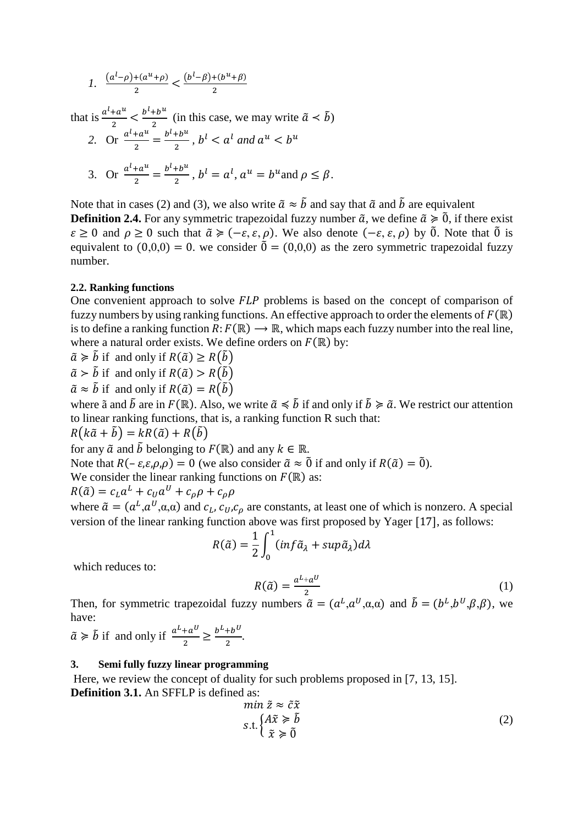$$
l. \ \ \frac{(a^l - \rho) + (a^u + \rho)}{2} < \frac{(b^l - \beta) + (b^u + \beta)}{2}
$$

that is  $\frac{a^l + a^u}{2}$  $\frac{+a^u}{2} < \frac{b^l + b^u}{2}$  $\frac{1+b^{\alpha}}{2}$  (in this case, we may write  $\tilde{a} \lt \tilde{b}$ ) 2. Or  $\frac{a^l + a^u}{2}$  $\frac{+a^u}{2} = \frac{b^l + b^u}{2}$  $\frac{a+b^{\alpha}}{2}$ ,  $b^{l} < a^{l}$  and  $a^{u} < b^{u}$ 3. Or  $\frac{a^l + a^u}{2}$  $\frac{+a^u}{2} = \frac{b^l + b^u}{2}$  $\frac{1+b^{\infty}}{2}$ ,  $b^{l} = a^{l}$ ,  $a^{u} = b^{u}$  and  $\rho \leq \beta$ .

Note that in cases (2) and (3), we also write  $\tilde{a} \approx \tilde{b}$  and say that  $\tilde{a}$  and  $\tilde{b}$  are equivalent

**Definition 2.4.** For any symmetric trapezoidal fuzzy number  $\tilde{a}$ , we define  $\tilde{a} \geq 0$ , if there exist  $\epsilon \geq 0$  and  $\rho \geq 0$  such that  $\tilde{a} \geq (-\epsilon, \epsilon, \rho)$ . We also denote  $(-\epsilon, \epsilon, \rho)$  by  $\tilde{0}$ . Note that  $\tilde{0}$  is equivalent to  $(0,0,0) = 0$ , we consider  $\tilde{0} = (0,0,0)$  as the zero symmetric trapezoidal fuzzy number.

## **2.2. Ranking functions**

One convenient approach to solve FLP problems is based on the concept of comparison of fuzzy numbers by using ranking functions. An effective approach to order the elements of  $F(\mathbb{R})$ is to define a ranking function  $R: F(\mathbb{R}) \longrightarrow \mathbb{R}$ , which maps each fuzzy number into the real line, where a natural order exists. We define orders on  $F(\mathbb{R})$  by:

 $\tilde{a} \ge \tilde{b}$  if and only if  $R(\tilde{a}) \ge R(\tilde{b})$ 

 $\tilde{a} > \tilde{b}$  if and only if  $R(\tilde{a}) > R(\tilde{b})$ 

 $\tilde{a} \approx \tilde{b}$  if and only if  $R(\tilde{a}) = R(\tilde{b})$ 

where  $\tilde{a}$  and  $\tilde{b}$  are in  $F(\mathbb{R})$ . Also, we write  $\tilde{a} \le \tilde{b}$  if and only if  $\tilde{b} \ge \tilde{a}$ . We restrict our attention to linear ranking functions, that is, a ranking function R such that:

$$
R(k\tilde{a} + \tilde{b}) = kR(\tilde{a}) + R(\tilde{b})
$$

for any  $\tilde{a}$  and  $\tilde{b}$  belonging to  $F(\mathbb{R})$  and any  $k \in \mathbb{R}$ .

Note that  $R(-\varepsilon,\varepsilon,\rho,\rho) = 0$  (we also consider  $\tilde{\alpha} \approx 0$  if and only if  $R(\tilde{\alpha}) = 0$ ).

We consider the linear ranking functions on  $F(\mathbb{R})$  as:

$$
R(\tilde{a}) = c_L a^L + c_U a^U + c_\rho \rho + c_\rho \rho
$$

where  $\tilde{a} = (a^L, a^U, \alpha, \alpha)$  and  $c_L, c_U, c_\rho$  are constants, at least one of which is nonzero. A special version of the linear ranking function above was first proposed by Yager [17], as follows:

$$
R(\tilde{a}) = \frac{1}{2} \int_0^1 (i n f \tilde{a}_{\lambda} + \sup \tilde{a}_{\lambda}) d\lambda
$$

which reduces to:

$$
R(\tilde{a}) = \frac{a^{L} + a^{U}}{2}
$$
 (1)

Then, for symmetric trapezoidal fuzzy numbers  $\tilde{a} = (a^L, a^U, \alpha, \alpha)$  and  $\tilde{b} = (b^L, b^U, \beta, \beta)$ , we have:

 $\tilde{a} \ge \tilde{b}$  if and only if  $\frac{a^L + a^U}{2}$  $\frac{+a^U}{2} \geq \frac{b^L + b^U}{2}$  $rac{10}{2}$ .

## **3. Semi fully fuzzy linear programming**

Here, we review the concept of duality for such problems proposed in [7, 13, 15]. **Definition 3.1.** An SFFLP is defined as:

$$
\min \tilde{z} \approx \tilde{c}\tilde{x} \ns.t. \begin{cases} A\tilde{x} \geqslant \tilde{b} \\ \tilde{x} \geqslant \tilde{0} \end{cases}
$$
\n(2)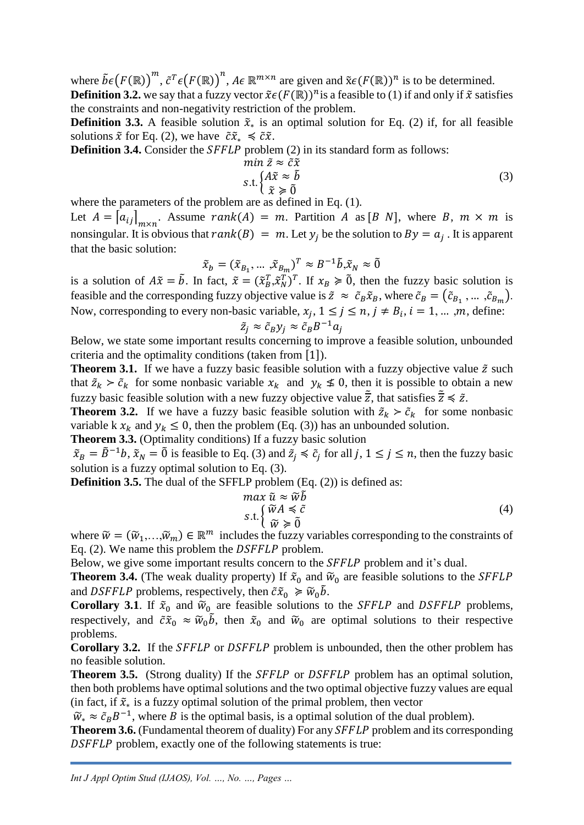where  $\tilde{b}\epsilon(F(\mathbb{R}))^m$ ,  $\tilde{c}^T\epsilon(F(\mathbb{R}))^n$ ,  $A\epsilon \mathbb{R}^{m \times n}$  are given and  $\tilde{x}\epsilon(F(\mathbb{R}))^n$  is to be determined. **Definition 3.2.** we say that a fuzzy vector  $\tilde{x} \in (F(\mathbb{R}))^n$  is a feasible to (1) if and only if  $\tilde{x}$  satisfies

the constraints and non-negativity restriction of the problem.

**Definition 3.3.** A feasible solution  $\tilde{x}_*$  is an optimal solution for Eq. (2) if, for all feasible solutions  $\tilde{x}$  for Eq. (2), we have  $\tilde{c}\tilde{x}_* \leq \tilde{c}\tilde{x}$ .

**Definition 3.4.** Consider the *SFFLP* problem (2) in its standard form as follows:

$$
\min \tilde{z} \approx \tilde{c}\tilde{x} \ns.t. \begin{cases} A\tilde{x} \approx \tilde{b} \\ \tilde{x} \ge 0 \end{cases}
$$
\n(3)

where the parameters of the problem are as defined in Eq. (1).

Let  $A = |a_{ij}|_{m \times n}$ . Assume  $rank(A) = m$ . Partition A as [B N], where B,  $m \times m$  is nonsingular. It is obvious that  $rank(B) = m$ . Let  $y_j$  be the solution to  $By = a_j$ . It is apparent that the basic solution:

$$
\tilde{x}_b=(\tilde{x}_{B_1},\ldots,\tilde{x}_{B_m})^T\approx B^{-1}\tilde{b}, \tilde{x}_N\approx \tilde{0}
$$

is a solution of  $A\tilde{x} = \tilde{b}$ . In fact,  $\tilde{x} = (\tilde{x}_B^T, \tilde{x}_N^T)^T$ . If  $x_B \ge \tilde{0}$ , then the fuzzy basic solution is feasible and the corresponding fuzzy objective value is  $\tilde{z} \approx \tilde{c}_B \tilde{x}_B$ , where  $\tilde{c}_B = (\tilde{c}_{B_1}, \dots, \tilde{c}_{B_m})$ . Now, corresponding to every non-basic variable,  $x_j$ ,  $1 \le j \le n$ ,  $j \ne B_i$ ,  $i = 1, \dots, m$ , define:

$$
\tilde{z}_j \approx \tilde{c}_B y_j \approx \tilde{c}_B B^{-1} a_j
$$

Below, we state some important results concerning to improve a feasible solution, unbounded criteria and the optimality conditions (taken from [1]).

**Theorem 3.1.** If we have a fuzzy basic feasible solution with a fuzzy objective value  $\tilde{z}$  such that  $\tilde{z}_k > \tilde{c}_k$  for some nonbasic variable  $x_k$  and  $y_k \nleq 0$ , then it is possible to obtain a new fuzzy basic feasible solution with a new fuzzy objective value  $\tilde{\vec{z}}$ , that satisfies  $\tilde{\vec{z}} \leq \tilde{z}$ .

**Theorem 3.2.** If we have a fuzzy basic feasible solution with  $\tilde{z}_k > \tilde{c}_k$  for some nonbasic variable k  $x_k$  and  $y_k \le 0$ , then the problem (Eq. (3)) has an unbounded solution.

**Theorem 3.3.** (Optimality conditions) If a fuzzy basic solution

 $\tilde{x}_B = \tilde{B}^{-1}b$ ,  $\tilde{x}_N = \tilde{0}$  is feasible to Eq. (3) and  $\tilde{z}_j \leq \tilde{c}_j$  for all j,  $1 \leq j \leq n$ , then the fuzzy basic solution is a fuzzy optimal solution to Eq. (3).

**Definition 3.5.** The dual of the SFFLP problem (Eq. (2)) is defined as:

$$
\max_{\tilde{u}} \tilde{u} \approx \tilde{w}\tilde{b} \ns.t. \begin{cases} \tilde{w}A \le \tilde{c} \\ \tilde{w} \ge \tilde{0} \end{cases}
$$
\n(4)

where  $\widetilde{w} = (\widetilde{w}_1, ..., \widetilde{w}_m) \in \mathbb{R}^m$  includes the fuzzy variables corresponding to the constraints of Eq.  $(2)$ . We name this problem the *DSFFLP* problem.

Below, we give some important results concern to the *SFFLP* problem and it's dual.

**Theorem 3.4.** (The weak duality property) If  $\tilde{x}_0$  and  $\tilde{w}_0$  are feasible solutions to the *SFFLP* and *DSFFLP* problems, respectively, then  $\tilde{c}\tilde{x}_0 \geq \tilde{w}_0 b$ .

**Corollary 3.1**. If  $\tilde{x}_0$  and  $\tilde{w}_0$  are feasible solutions to the *SFFLP* and *DSFFLP* problems, respectively, and  $\tilde{c}\tilde{x}_0 \approx \tilde{w}_0 \tilde{b}$ , then  $\tilde{x}_0$  and  $\tilde{w}_0$  are optimal solutions to their respective problems.

**Corollary 3.2.** If the *SFFLP* or *DSFFLP* problem is unbounded, then the other problem has no feasible solution.

**Theorem 3.5.** (Strong duality) If the *SFFLP* or *DSFFLP* problem has an optimal solution, then both problems have optimal solutions and the two optimal objective fuzzy values are equal (in fact, if  $\tilde{x}_*$  is a fuzzy optimal solution of the primal problem, then vector

 $\widetilde{w}_* \approx \widetilde{c}_B B^{-1}$ , where B is the optimal basis, is a optimal solution of the dual problem).

**Theorem 3.6.** (Fundamental theorem of duality) For any *SFFLP* problem and its corresponding DSFFLP problem, exactly one of the following statements is true: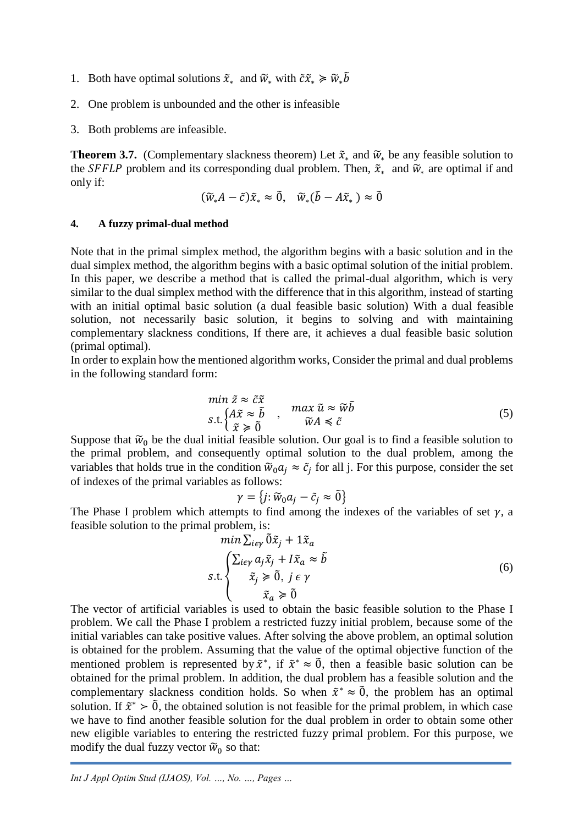- 1. Both have optimal solutions  $\tilde{x}_*$  and  $\tilde{w}_*$  with  $\tilde{c}\tilde{x}_* \geq \tilde{w}_*\tilde{b}$
- 2. One problem is unbounded and the other is infeasible
- 3. Both problems are infeasible.

**Theorem 3.7.** (Complementary slackness theorem) Let  $\tilde{x}_*$  and  $\tilde{w}_*$  be any feasible solution to the SFFLP problem and its corresponding dual problem. Then,  $\tilde{x}_*$  and  $\tilde{w}_*$  are optimal if and only if:

$$
(\widetilde{w}_*A-\widetilde{c})\widetilde{x}_* \approx \widetilde{0}, \quad \widetilde{w}_*(\widetilde{b}-A\widetilde{x}_*) \approx \widetilde{0}
$$

## **4. A fuzzy primal-dual method**

Note that in the primal simplex method, the algorithm begins with a basic solution and in the dual simplex method, the algorithm begins with a basic optimal solution of the initial problem. In this paper, we describe a method that is called the primal-dual algorithm, which is very similar to the dual simplex method with the difference that in this algorithm, instead of starting with an initial optimal basic solution (a dual feasible basic solution) With a dual feasible solution, not necessarily basic solution, it begins to solving and with maintaining complementary slackness conditions, If there are, it achieves a dual feasible basic solution (primal optimal).

In order to explain how the mentioned algorithm works, Consider the primal and dual problems in the following standard form:

$$
\min \tilde{z} \approx \tilde{c}\tilde{x} \ns.t. \begin{cases} A\tilde{x} \approx \tilde{b} & , \quad \max \tilde{u} \approx \tilde{w}\tilde{b} \\ \tilde{x} \ge \tilde{0} & \quad \widetilde{w}A \le \tilde{c} \end{cases}
$$
\n(5)

Suppose that  $\widetilde{w}_0$  be the dual initial feasible solution. Our goal is to find a feasible solution to the primal problem, and consequently optimal solution to the dual problem, among the variables that holds true in the condition  $\tilde{w}_0 a_j \approx \tilde{c}_j$  for all j. For this purpose, consider the set of indexes of the primal variables as follows:

$$
\gamma = \{j : \widetilde{w}_0 a_j - \tilde{c}_j \approx \tilde{0}\}
$$

The Phase I problem which attempts to find among the indexes of the variables of set  $\gamma$ , a feasible solution to the primal problem, is:

$$
\min \sum_{i \in \gamma} \tilde{0} \tilde{x}_j + 1 \tilde{x}_a
$$
\n
$$
s.t. \begin{cases}\n\sum_{i \in \gamma} a_j \tilde{x}_j + I \tilde{x}_a \approx \tilde{b} \\
\tilde{x}_j \geq \tilde{0}, \ j \in \gamma \\
\tilde{x}_a \geq \tilde{0}\n\end{cases}
$$
\n(6)

The vector of artificial variables is used to obtain the basic feasible solution to the Phase I problem. We call the Phase I problem a restricted fuzzy initial problem, because some of the initial variables can take positive values. After solving the above problem, an optimal solution is obtained for the problem. Assuming that the value of the optimal objective function of the mentioned problem is represented by  $\tilde{x}^*$ , if  $\tilde{x}^* \approx \tilde{0}$ , then a feasible basic solution can be obtained for the primal problem. In addition, the dual problem has a feasible solution and the complementary slackness condition holds. So when  $\tilde{x}^* \approx \tilde{0}$ , the problem has an optimal solution. If  $\tilde{x}^* > \tilde{0}$ , the obtained solution is not feasible for the primal problem, in which case we have to find another feasible solution for the dual problem in order to obtain some other new eligible variables to entering the restricted fuzzy primal problem. For this purpose, we modify the dual fuzzy vector  $\widetilde{w}_0$  so that: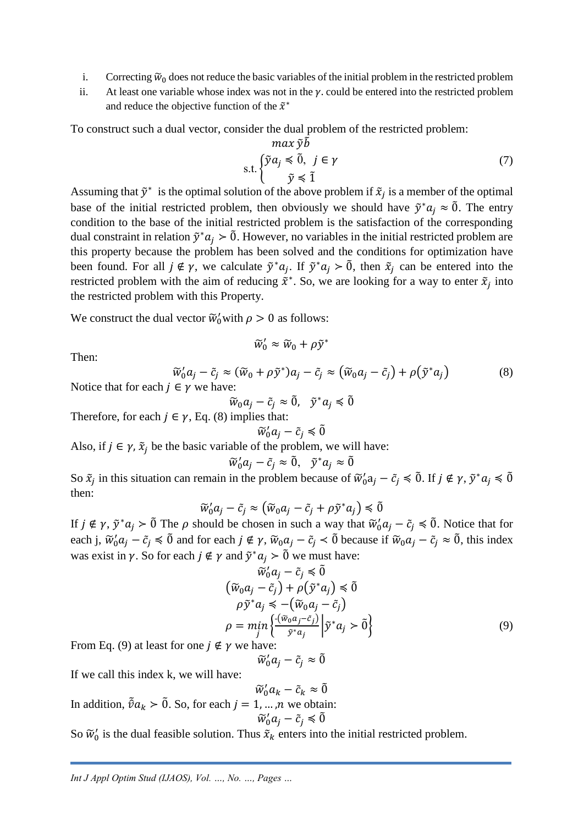- i. Correcting  $\widetilde{w}_0$  does not reduce the basic variables of the initial problem in the restricted problem
- ii. At least one variable whose index was not in the  $\gamma$ . could be entered into the restricted problem and reduce the objective function of the  $\tilde{x}^*$

To construct such a dual vector, consider the dual problem of the restricted problem:

$$
\max_{s,t} \tilde{y}\tilde{b}
$$
  
s.t. 
$$
\begin{cases} \tilde{y}a_j \leq \tilde{0}, \ j \in \gamma \\ \tilde{y} \leq \tilde{1} \end{cases}
$$
 (7)

Assuming that  $\tilde{y}^*$  is the optimal solution of the above problem if  $\tilde{x}_j$  is a member of the optimal base of the initial restricted problem, then obviously we should have  $\tilde{y}^* a_j \approx \tilde{0}$ . The entry condition to the base of the initial restricted problem is the satisfaction of the corresponding dual constraint in relation  $\tilde{y}^* a_j > \tilde{0}$ . However, no variables in the initial restricted problem are this property because the problem has been solved and the conditions for optimization have been found. For all  $j \notin \gamma$ , we calculate  $\tilde{\gamma}^* a_j$ . If  $\tilde{\gamma}^* a_j > \tilde{0}$ , then  $\tilde{x}_j$  can be entered into the restricted problem with the aim of reducing  $\tilde{x}^*$ . So, we are looking for a way to enter  $\tilde{x}_j$  into the restricted problem with this Property.

We construct the dual vector  $\widetilde{w}'_0$  with  $\rho > 0$  as follows:

$$
\widetilde{w}'_0 \approx \widetilde{w}_0 + \rho \widetilde{y}^*
$$

Then:

$$
\widetilde{w}_0' a_j - \widetilde{c}_j \approx (\widetilde{w}_0 + \rho \widetilde{y}^*) a_j - \widetilde{c}_j \approx (\widetilde{w}_0 a_j - \widetilde{c}_j) + \rho (\widetilde{y}^* a_j)
$$
\n(8)

\nh  $i \in \mathcal{V}$  we have:

Notice that for each  $j \in \gamma$  we have:

 $\widetilde{w}_0 a_j - \tilde{c}_j \approx \widetilde{0}, \quad \widetilde{y}^* a_j \le \widetilde{0}$ 

Therefore, for each  $j \in \gamma$ , Eq. (8) implies that:

$$
\widetilde{w}_0'a_j-\widetilde{c}_j\leq \widetilde{0}
$$

Also, if  $j \in \gamma$ ,  $\tilde{x}_i$  be the basic variable of the problem, we will have:

$$
\widetilde{w}_0'a_j-\widetilde{c}_j\approx \widetilde{0}, \quad \widetilde{y}^*a_j\approx \widetilde{0}
$$

So  $\tilde{x}_j$  in this situation can remain in the problem because of  $\tilde{w}_0' a_j - \tilde{c}_j \le \tilde{0}$ . If  $j \notin \gamma$ ,  $\tilde{y}^* a_j \le \tilde{0}$ then:

$$
\widetilde{w}_0'a_j - \widetilde{c}_j \approx (\widetilde{w}_0a_j - \widetilde{c}_j + \rho \widetilde{y}^*a_j) \le \widetilde{0}
$$

If  $j \notin \gamma$ ,  $\tilde{y}^* a_j > \tilde{0}$  The  $\rho$  should be chosen in such a way that  $\tilde{w}'_0 a_j - \tilde{c}_j \le \tilde{0}$ . Notice that for each j,  $\tilde{w}_0' a_j - \tilde{c}_j \le \tilde{0}$  and for each  $j \notin \gamma$ ,  $\tilde{w}_0 a_j - \tilde{c}_j \le \tilde{0}$  because if  $\tilde{w}_0 a_j - \tilde{c}_j \approx \tilde{0}$ , this index was exist in  $\gamma$ . So for each  $j \notin \gamma$  and  $\tilde{\gamma}^* a_j > \tilde{0}$  we must have:

$$
\widetilde{w}_0' a_j - \widetilde{c}_j \le \widetilde{0}
$$
\n
$$
(\widetilde{w}_0 a_j - \widetilde{c}_j) + \rho (\widetilde{y}^* a_j) \le \widetilde{0}
$$
\n
$$
\rho \widetilde{y}^* a_j \le -(\widetilde{w}_0 a_j - \widetilde{c}_j)
$$
\n
$$
\rho = \min_j \left\{ \frac{(\widetilde{w}_0 a_j - \widetilde{c}_j)}{\widetilde{y}^* a_j} \middle| \widetilde{y}^* a_j > \widetilde{0} \right\}
$$
\n
$$
\widetilde{y}^* a_j \qquad (9)
$$

From Eq. (9) at least for one  $j \notin \gamma$  we have:

$$
\widetilde{w}_0'a_j-\widetilde{c}_j\approx\widetilde{0}
$$

If we call this index k, we will have:

$$
\widetilde{w}_0' a_k - \widetilde{c}_k \approx \widetilde{0}
$$
  
In addition,  $\widetilde{\vartheta} a_k > \widetilde{0}$ . So, for each  $j = 1, ..., n$  we obtain:  

$$
\widetilde{w}_0' a_j - \widetilde{c}_j \le \widetilde{0}
$$

So  $\widetilde{w}'_0$  is the dual feasible solution. Thus  $\widetilde{x}_k$  enters into the initial restricted problem.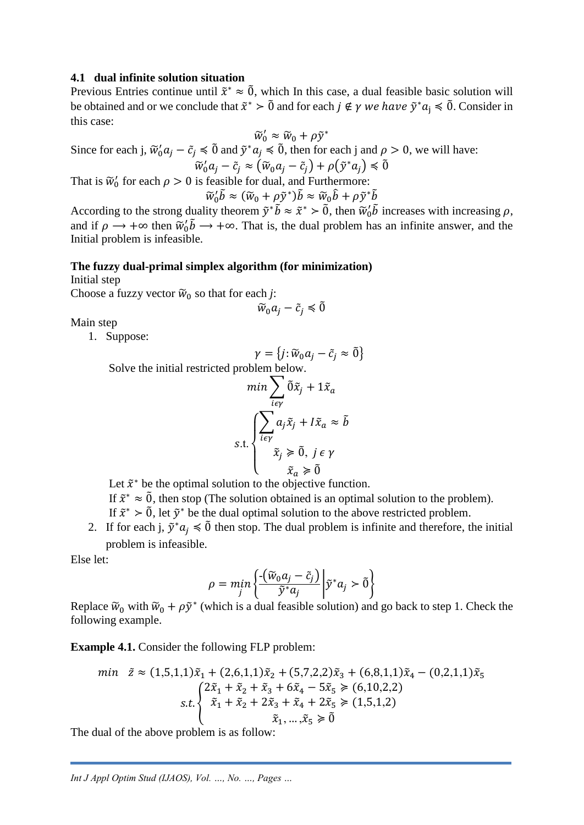## **4.1 dual infinite solution situation**

Previous Entries continue until  $\tilde{x}^* \approx \tilde{0}$ , which In this case, a dual feasible basic solution will be obtained and or we conclude that  $\tilde{x}^* > \tilde{0}$  and for each  $j \notin \gamma$  we have  $\tilde{y}^* a_j \le \tilde{0}$ . Consider in this case:

$$
\widetilde{w}_0' \approx \widetilde{w}_0 + \rho \widetilde{y}^*
$$
\nSince for each j,  $\widetilde{w}_0' a_j - \widetilde{c}_j \leq \widetilde{0}$  and  $\widetilde{y}^* a_j \leq \widetilde{0}$ , then for each j and  $\rho > 0$ , we will have:  
\n
$$
\widetilde{w}_0' a_j - \widetilde{c}_j \approx (\widetilde{w}_0 a_j - \widetilde{c}_j) + \rho (\widetilde{y}^* a_j) \leq \widetilde{0}
$$
\nThat is  $\widetilde{w}_0'$  for each  $\rho > 0$  is feasible for dual, and Furthermore:

 $\widetilde{w}'_0 \widetilde{b} \approx (\widetilde{w}_0 + \rho \widetilde{y}^*) \widetilde{b} \approx \widetilde{w}_0 \widehat{b} + \rho \widetilde{y}^* \widetilde{b}$ 

According to the strong duality theorem  $\tilde{y}^*\tilde{b} \approx \tilde{x}^* > \tilde{0}$ , then  $\tilde{w}'_0 \tilde{b}$  increases with increasing  $\rho$ , and if  $\rho \to +\infty$  then  $\tilde{w}'_0 \tilde{b} \to +\infty$ . That is, the dual problem has an infinite answer, and the Initial problem is infeasible.

## **The fuzzy dual-primal simplex algorithm (for minimization)**

Initial step

Choose a fuzzy vector  $\widetilde{w}_0$  so that for each *j*:

$$
\tilde{w}_0 a_j - \tilde{c}_j \le \tilde{0}
$$

Main step

1. Suppose:

$$
\gamma = \{j : \widetilde{w}_0 a_j - \tilde{c}_j \approx \tilde{0}\}
$$

Solve the initial restricted problem below.

$$
\min \sum_{i \in \gamma} \tilde{0} \tilde{x}_j + 1 \tilde{x}_a
$$
  
s.t. 
$$
\begin{cases} \sum_{i \in \gamma} a_j \tilde{x}_j + I \tilde{x}_a \approx \tilde{b} \\ \tilde{x}_j \ge \tilde{0}, \ j \in \gamma \\ \tilde{x}_a \ge \tilde{0} \end{cases}
$$

Let  $\tilde{x}^*$  be the optimal solution to the objective function.

If  $\tilde{x}^* \approx \tilde{0}$ , then stop (The solution obtained is an optimal solution to the problem).

If  $\tilde{x}^* > \tilde{0}$ , let  $\tilde{y}^*$  be the dual optimal solution to the above restricted problem.

2. If for each j,  $\tilde{y}^* a_j \leq \tilde{0}$  then stop. The dual problem is infinite and therefore, the initial problem is infeasible.

Else let:

$$
\rho = \min_{j} \left\{ \frac{-\left(\widetilde{w}_0 a_j - \widetilde{c}_j\right)}{\widetilde{y}^* a_j} \middle| \widetilde{y}^* a_j > \widetilde{0} \right\}
$$

Replace  $\tilde{w}_0$  with  $\tilde{w}_0 + \rho \tilde{y}^*$  (which is a dual feasible solution) and go back to step 1. Check the following example.

**Example 4.1.** Consider the following FLP problem:

min 
$$
\tilde{z} \approx (1,5,1,1)\tilde{x}_1 + (2,6,1,1)\tilde{x}_2 + (5,7,2,2)\tilde{x}_3 + (6,8,1,1)\tilde{x}_4 - (0,2,1,1)\tilde{x}_5
$$
  

$$
\begin{cases}\n2\tilde{x}_1 + \tilde{x}_2 + \tilde{x}_3 + 6\tilde{x}_4 - 5\tilde{x}_5 \ge (6,10,2,2) \\
\tilde{x}_1 + \tilde{x}_2 + 2\tilde{x}_3 + \tilde{x}_4 + 2\tilde{x}_5 \ge (1,5,1,2) \\
\tilde{x}_1, \dots, \tilde{x}_5 \ge \tilde{0}\n\end{cases}
$$

The dual of the above problem is as follow:

*Int J Appl Optim Stud (IJAOS), Vol. …, No. …, Pages …*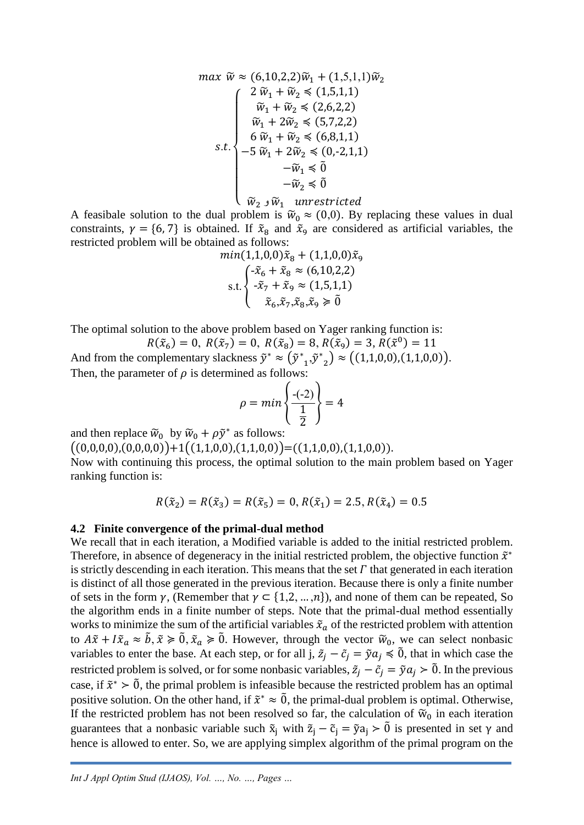max 
$$
\widetilde{w} \approx (6,10,2,2)\widetilde{w}_1 + (1,5,1,1)\widetilde{w}_2
$$
  
\n
$$
\begin{cases}\n2 \widetilde{w}_1 + \widetilde{w}_2 \leq (1,5,1,1) \\
\widetilde{w}_1 + \widetilde{w}_2 \leq (2,6,2,2) \\
\widetilde{w}_1 + 2\widetilde{w}_2 \leq (5,7,2,2) \\
6 \widetilde{w}_1 + \widetilde{w}_2 \leq (6,8,1,1) \\
-5 \widetilde{w}_1 + 2\widetilde{w}_2 \leq (0,-2,1,1) \\
-\widetilde{w}_1 \leq \widetilde{0} \\
-\widetilde{w}_2 \leq \widetilde{0} \\
\widetilde{w}_2 \cdot \widetilde{w}_1 \quad unrestricted\n\end{cases}
$$

A feasibale solution to the dual problem is  $\tilde{w}_0 \approx (0,0)$ . By replacing these values in dual constraints,  $\gamma = \{6, 7\}$  is obtained. If  $\tilde{x}_8$  and  $\tilde{x}_9$  are considered as artificial variables, the restricted problem will be obtained as follows:

$$
min(1,1,0,0)\tilde{x}_8 + (1,1,0,0)\tilde{x}_9
$$
  

$$
s.t. \begin{cases} -\tilde{x}_6 + \tilde{x}_8 \approx (6,10,2,2) \\ -\tilde{x}_7 + \tilde{x}_9 \approx (1,5,1,1) \\ \tilde{x}_6, \tilde{x}_7, \tilde{x}_8, \tilde{x}_9 \geq 0 \end{cases}
$$

The optimal solution to the above problem based on Yager ranking function is:

 $R(\tilde{x}_6) = 0, R(\tilde{x}_7) = 0, R(\tilde{x}_8) = 8, R(\tilde{x}_9) = 3, R(\tilde{x}^0) = 11$ And from the complementary slackness  $\tilde{y}^* \approx (\tilde{y}^*)$  $_1,\tilde{y}^*$  $_{2}) \approx ((1,1,0,0),(1,1,0,0)).$ Then, the parameter of  $\rho$  is determined as follows:

$$
\rho = min \left\{ \frac{-(-2)}{\frac{1}{2}} \right\} = 4
$$

and then replace  $\widetilde{w}_0$  by  $\widetilde{w}_0 + \rho \widetilde{y}^*$  as follows:  $((0,0,0,0),(0,0,0,0))+1((1,1,0,0),(1,1,0,0))=((1,1,0,0),(1,1,0,0)).$ Now with continuing this process, the optimal solution to the main problem based on Yager ranking function is:

$$
R(\tilde{x}_2) = R(\tilde{x}_3) = R(\tilde{x}_5) = 0, R(\tilde{x}_1) = 2.5, R(\tilde{x}_4) = 0.5
$$

#### **4.2 Finite convergence of the primal-dual method**

We recall that in each iteration, a Modified variable is added to the initial restricted problem. Therefore, in absence of degeneracy in the initial restricted problem, the objective function  $\tilde{x}^*$ is strictly descending in each iteration. This means that the set  $\Gamma$  that generated in each iteration is distinct of all those generated in the previous iteration. Because there is only a finite number of sets in the form  $\gamma$ , (Remember that  $\gamma \subset \{1,2,\ldots,n\}$ ), and none of them can be repeated, So the algorithm ends in a finite number of steps. Note that the primal-dual method essentially works to minimize the sum of the artificial variables  $\tilde{x}_a$  of the restricted problem with attention to  $A\tilde{x} + I\tilde{x}_a \approx \tilde{b}, \tilde{x} \ge \tilde{0}, \tilde{x}_a \ge \tilde{0}$ . However, through the vector  $\tilde{w}_0$ , we can select nonbasic variables to enter the base. At each step, or for all j,  $\tilde{z}_i - \tilde{c}_i = \tilde{y} a_i \le \tilde{0}$ , that in which case the restricted problem is solved, or for some nonbasic variables,  $\tilde{z}_j - \tilde{c}_j = \tilde{y} a_j > \tilde{0}$ . In the previous case, if  $\tilde{x}^* > \tilde{0}$ , the primal problem is infeasible because the restricted problem has an optimal positive solution. On the other hand, if  $\tilde{x}^* \approx \tilde{0}$ , the primal-dual problem is optimal. Otherwise, If the restricted problem has not been resolved so far, the calculation of  $\tilde{w}_0$  in each iteration guarantees that a nonbasic variable such  $\tilde{x}_i$  with  $\tilde{z}_i - \tilde{c}_i = \tilde{y}a_i > 0$  is presented in set  $\gamma$  and hence is allowed to enter. So, we are applying simplex algorithm of the primal program on the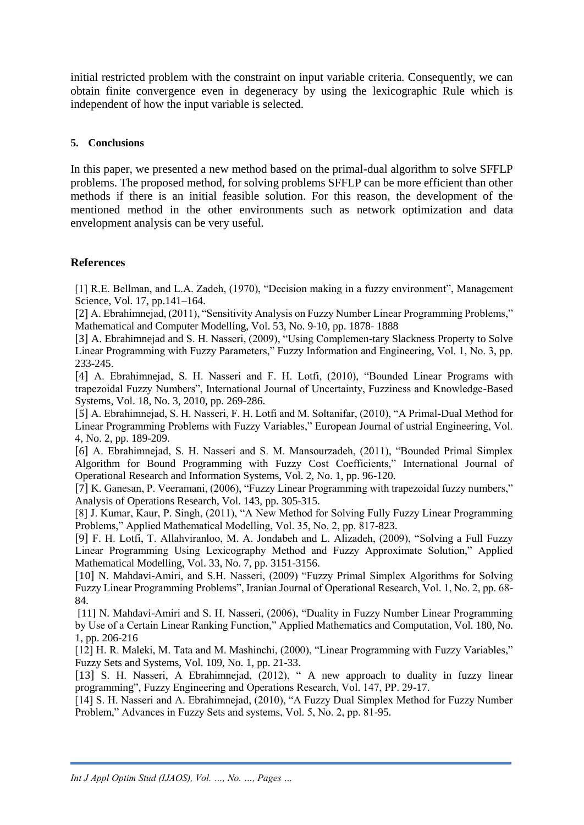initial restricted problem with the constraint on input variable criteria. Consequently, we can obtain finite convergence even in degeneracy by using the lexicographic Rule which is independent of how the input variable is selected.

# **5. Conclusions**

In this paper, we presented a new method based on the primal-dual algorithm to solve SFFLP problems. The proposed method, for solving problems SFFLP can be more efficient than other methods if there is an initial feasible solution. For this reason, the development of the mentioned method in the other environments such as network optimization and data envelopment analysis can be very useful.

# **References**

[1] R.E. Bellman, and L.A. Zadeh, (1970), "Decision making in a fuzzy environment", Management Science, Vol. 17, pp.141–164.

[2] A. Ebrahimnejad, (2011), "Sensitivity Analysis on Fuzzy Number Linear Programming Problems," Mathematical and Computer Modelling, Vol. 53, No. 9-10, pp. 1878- 1888

[3] A. Ebrahimnejad and S. H. Nasseri, (2009), "Using Complemen-tary Slackness Property to Solve Linear Programming with Fuzzy Parameters," Fuzzy Information and Engineering, Vol. 1, No. 3, pp. 233-245.

[4] A. Ebrahimnejad, S. H. Nasseri and F. H. Lotfi, (2010), "Bounded Linear Programs with trapezoidal Fuzzy Numbers", International Journal of Uncertainty, Fuzziness and Knowledge-Based Systems, Vol. 18, No. 3, 2010, pp. 269-286.

[5] A. Ebrahimnejad, S. H. Nasseri, F. H. Lotfi and M. Soltanifar, (2010), "A Primal-Dual Method for Linear Programming Problems with Fuzzy Variables," European Journal of ustrial Engineering, Vol. 4, No. 2, pp. 189-209.

[6] A. Ebrahimnejad, S. H. Nasseri and S. M. Mansourzadeh, (2011), "Bounded Primal Simplex Algorithm for Bound Programming with Fuzzy Cost Coefficients," International Journal of Operational Research and Information Systems, Vol. 2, No. 1, pp. 96-120.

[7] K. Ganesan, P. Veeramani, (2006), "Fuzzy Linear Programming with trapezoidal fuzzy numbers," Analysis of Operations Research, Vol. 143, pp. 305-315.

[8] J. Kumar, Kaur, P. Singh, (2011), "A New Method for Solving Fully Fuzzy Linear Programming Problems," Applied Mathematical Modelling, Vol. 35, No. 2, pp. 817-823.

[9] F. H. Lotfi, T. Allahviranloo, M. A. Jondabeh and L. Alizadeh, (2009), "Solving a Full Fuzzy Linear Programming Using Lexicography Method and Fuzzy Approximate Solution," Applied Mathematical Modelling, Vol. 33, No. 7, pp. 3151-3156.

[10] N. Mahdavi-Amiri, and S.H. Nasseri, (2009) "Fuzzy Primal Simplex Algorithms for Solving Fuzzy Linear Programming Problems", Iranian Journal of Operational Research, Vol. 1, No. 2, pp. 68- 84.

[11] N. Mahdavi-Amiri and S. H. Nasseri, (2006), "Duality in Fuzzy Number Linear Programming by Use of a Certain Linear Ranking Function," Applied Mathematics and Computation, Vol. 180, No. 1, pp. 206-216

[12] H. R. Maleki, M. Tata and M. Mashinchi, (2000), "Linear Programming with Fuzzy Variables," Fuzzy Sets and Systems, Vol. 109, No. 1, pp. 21-33.

[13] S. H. Nasseri, A Ebrahimnejad, (2012), " A new approach to duality in fuzzy linear [programming"](http://scholar.google.com/scholar_url?url=https%3A%2F%2Flink.springer.com%2Fchapter%2F10.1007%2F978-3-642-28592-9_2&hl=fa&sa=T&ei=PUedWYHeLYiXmAHl9J7wBg&scisig=AAGBfm1Hj-bgk_9V3qunRTkbqhkkWB_Z8Q&nossl=1&ws=1366x651), Fuzzy Engineering and Operations Research, Vol. 147, PP. 29-17.

[14] S. H. Nasseri and A. Ebrahimnejad, (2010), "A Fuzzy Dual Simplex Method for Fuzzy Number Problem," Advances in Fuzzy Sets and systems, Vol. 5, No. 2, pp. 81-95.